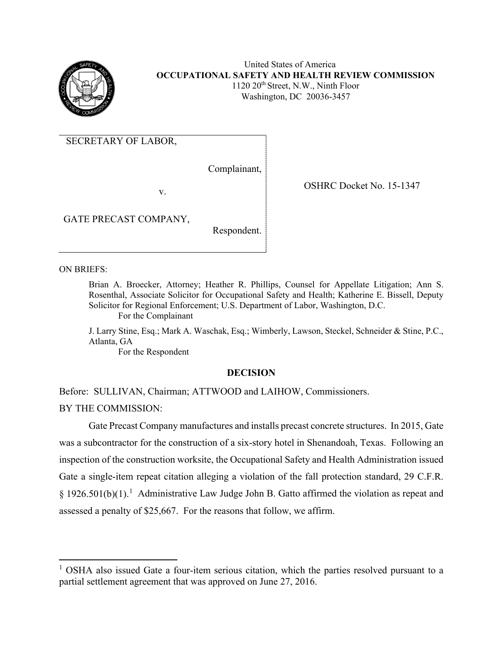

United States of America **OCCUPATIONAL SAFETY AND HEALTH REVIEW COMMISSION**  $1120 \ 20$ <sup>th</sup> Street, N.W., Ninth Floor Washington, DC 20036-3457

SECRETARY OF LABOR,

Complainant,

v.

OSHRC Docket No. 15-1347

GATE PRECAST COMPANY,

Respondent.

ON BRIEFS:

Brian A. Broecker, Attorney; Heather R. Phillips, Counsel for Appellate Litigation; Ann S. Rosenthal, Associate Solicitor for Occupational Safety and Health; Katherine E. Bissell, Deputy Solicitor for Regional Enforcement; U.S. Department of Labor, Washington, D.C. For the Complainant

J. Larry Stine, Esq.; Mark A. Waschak, Esq.; Wimberly, Lawson, Steckel, Schneider & Stine, P.C., Atlanta, GA

For the Respondent

### **DECISION**

Before: SULLIVAN, Chairman; ATTWOOD and LAIHOW, Commissioners.

BY THE COMMISSION:

Gate Precast Company manufactures and installs precast concrete structures. In 2015, Gate was a subcontractor for the construction of a six-story hotel in Shenandoah, Texas. Following an inspection of the construction worksite, the Occupational Safety and Health Administration issued Gate a single-item repeat citation alleging a violation of the fall protection standard, 29 C.F.R. § [1](#page-0-0)926.501(b)(1).<sup>1</sup> Administrative Law Judge John B. Gatto affirmed the violation as repeat and assessed a penalty of \$25,667. For the reasons that follow, we affirm.

<span id="page-0-0"></span> $1$  OSHA also issued Gate a four-item serious citation, which the parties resolved pursuant to a partial settlement agreement that was approved on June 27, 2016.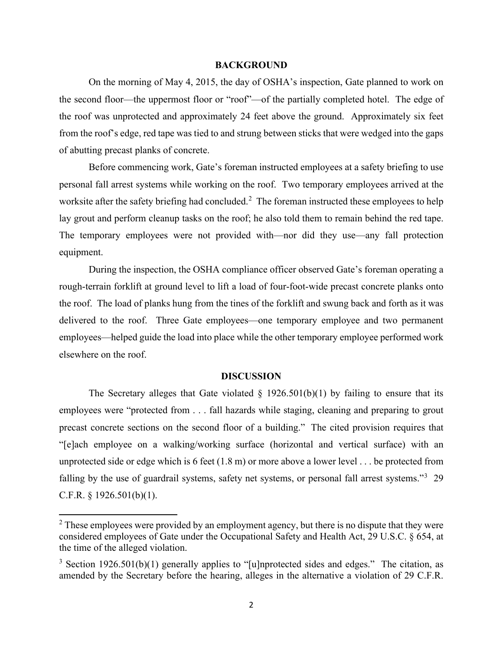#### **BACKGROUND**

On the morning of May 4, 2015, the day of OSHA's inspection, Gate planned to work on the second floor—the uppermost floor or "roof"—of the partially completed hotel. The edge of the roof was unprotected and approximately 24 feet above the ground. Approximately six feet from the roof's edge, red tape was tied to and strung between sticks that were wedged into the gaps of abutting precast planks of concrete.

Before commencing work, Gate's foreman instructed employees at a safety briefing to use personal fall arrest systems while working on the roof. Two temporary employees arrived at the worksite after the safety briefing had concluded.<sup>[2](#page-1-0)</sup> The foreman instructed these employees to help lay grout and perform cleanup tasks on the roof; he also told them to remain behind the red tape. The temporary employees were not provided with—nor did they use—any fall protection equipment.

During the inspection, the OSHA compliance officer observed Gate's foreman operating a rough-terrain forklift at ground level to lift a load of four-foot-wide precast concrete planks onto the roof. The load of planks hung from the tines of the forklift and swung back and forth as it was delivered to the roof. Three Gate employees—one temporary employee and two permanent employees—helped guide the load into place while the other temporary employee performed work elsewhere on the roof.

#### **DISCUSSION**

The Secretary alleges that Gate violated  $\S$  1926.501(b)(1) by failing to ensure that its employees were "protected from . . . fall hazards while staging, cleaning and preparing to grout precast concrete sections on the second floor of a building." The cited provision requires that "[e]ach employee on a walking/working surface (horizontal and vertical surface) with an unprotected side or edge which is 6 feet (1.8 m) or more above a lower level . . . be protected from falling by the use of guardrail systems, safety net systems, or personal fall arrest systems."<sup>[3](#page-1-1)</sup> 29 C.F.R.  $\S$  1926.501(b)(1).

<span id="page-1-0"></span><sup>&</sup>lt;sup>2</sup> These employees were provided by an employment agency, but there is no dispute that they were considered employees of Gate under the Occupational Safety and Health Act, 29 U.S.C. § 654, at the time of the alleged violation.

<span id="page-1-1"></span><sup>&</sup>lt;sup>3</sup> Section 1926.501(b)(1) generally applies to "[u]nprotected sides and edges." The citation, as amended by the Secretary before the hearing, alleges in the alternative a violation of 29 C.F.R.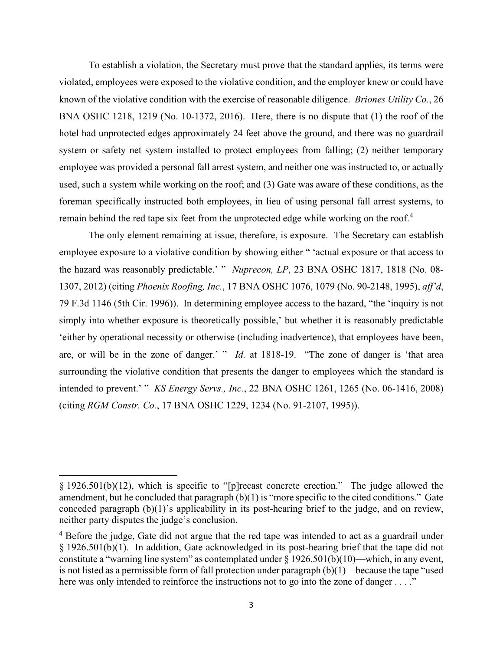To establish a violation, the Secretary must prove that the standard applies, its terms were violated, employees were exposed to the violative condition, and the employer knew or could have known of the violative condition with the exercise of reasonable diligence. *Briones Utility Co.*, 26 BNA OSHC 1218, 1219 (No. 10-1372, 2016). Here, there is no dispute that (1) the roof of the hotel had unprotected edges approximately 24 feet above the ground, and there was no guardrail system or safety net system installed to protect employees from falling; (2) neither temporary employee was provided a personal fall arrest system, and neither one was instructed to, or actually used, such a system while working on the roof; and (3) Gate was aware of these conditions, as the foreman specifically instructed both employees, in lieu of using personal fall arrest systems, to remain behind the red tape six feet from the unprotected edge while working on the roof.<sup>[4](#page-2-0)</sup>

The only element remaining at issue, therefore, is exposure. The Secretary can establish employee exposure to a violative condition by showing either " 'actual exposure or that access to the hazard was reasonably predictable.' " *Nuprecon, LP*, 23 BNA OSHC 1817, 1818 (No. 08- 1307, 2012) (citing *Phoenix Roofing, Inc.*, 17 BNA OSHC 1076, 1079 (No. 90-2148, 1995), *aff'd*, 79 F.3d 1146 (5th Cir. 1996)). In determining employee access to the hazard, "the 'inquiry is not simply into whether exposure is theoretically possible,' but whether it is reasonably predictable 'either by operational necessity or otherwise (including inadvertence), that employees have been, are, or will be in the zone of danger.' " *Id.* at 1818-19. "The zone of danger is 'that area surrounding the violative condition that presents the danger to employees which the standard is intended to prevent.' " *KS Energy Servs., Inc.*, 22 BNA OSHC 1261, 1265 (No. 06-1416, 2008) (citing *RGM Constr. Co.*, 17 BNA OSHC 1229, 1234 (No. 91-2107, 1995)).

<sup>§ 1926.501(</sup>b)(12), which is specific to "[p]recast concrete erection." The judge allowed the amendment, but he concluded that paragraph (b)(1) is "more specific to the cited conditions." Gate conceded paragraph (b)(1)'s applicability in its post-hearing brief to the judge, and on review, neither party disputes the judge's conclusion.

<span id="page-2-0"></span><sup>&</sup>lt;sup>4</sup> Before the judge, Gate did not argue that the red tape was intended to act as a guardrail under § 1926.501(b)(1). In addition, Gate acknowledged in its post-hearing brief that the tape did not constitute a "warning line system" as contemplated under § 1926.501(b)(10)—which, in any event, is not listed as a permissible form of fall protection under paragraph (b)(1)—because the tape "used here was only intended to reinforce the instructions not to go into the zone of danger . . . ."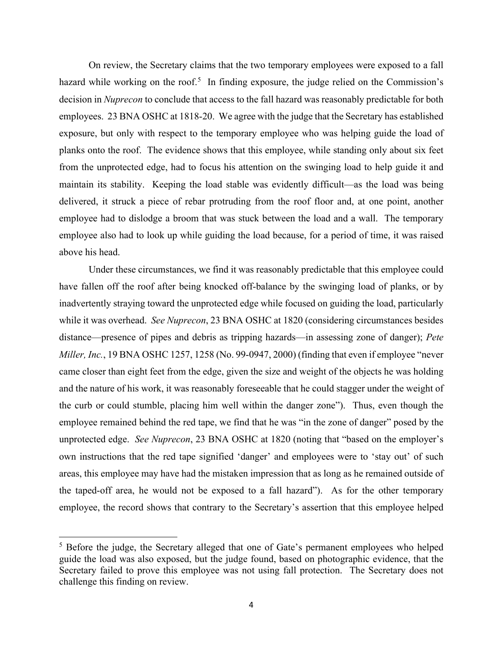On review, the Secretary claims that the two temporary employees were exposed to a fall hazard while working on the roof.<sup>[5](#page-3-0)</sup> In finding exposure, the judge relied on the Commission's decision in *Nuprecon* to conclude that access to the fall hazard was reasonably predictable for both employees. 23 BNA OSHC at 1818-20. We agree with the judge that the Secretary has established exposure, but only with respect to the temporary employee who was helping guide the load of planks onto the roof. The evidence shows that this employee, while standing only about six feet from the unprotected edge, had to focus his attention on the swinging load to help guide it and maintain its stability. Keeping the load stable was evidently difficult—as the load was being delivered, it struck a piece of rebar protruding from the roof floor and, at one point, another employee had to dislodge a broom that was stuck between the load and a wall. The temporary employee also had to look up while guiding the load because, for a period of time, it was raised above his head.

Under these circumstances, we find it was reasonably predictable that this employee could have fallen off the roof after being knocked off-balance by the swinging load of planks, or by inadvertently straying toward the unprotected edge while focused on guiding the load, particularly while it was overhead. *See Nuprecon*, 23 BNA OSHC at 1820 (considering circumstances besides distance—presence of pipes and debris as tripping hazards—in assessing zone of danger); *Pete Miller, Inc.*, 19 BNA OSHC 1257, 1258 (No. 99-0947, 2000) (finding that even if employee "never came closer than eight feet from the edge, given the size and weight of the objects he was holding and the nature of his work, it was reasonably foreseeable that he could stagger under the weight of the curb or could stumble, placing him well within the danger zone"). Thus, even though the employee remained behind the red tape, we find that he was "in the zone of danger" posed by the unprotected edge. *See Nuprecon*, 23 BNA OSHC at 1820 (noting that "based on the employer's own instructions that the red tape signified 'danger' and employees were to 'stay out' of such areas, this employee may have had the mistaken impression that as long as he remained outside of the taped-off area, he would not be exposed to a fall hazard"). As for the other temporary employee, the record shows that contrary to the Secretary's assertion that this employee helped

<span id="page-3-0"></span><sup>&</sup>lt;sup>5</sup> Before the judge, the Secretary alleged that one of Gate's permanent employees who helped guide the load was also exposed, but the judge found, based on photographic evidence, that the Secretary failed to prove this employee was not using fall protection. The Secretary does not challenge this finding on review.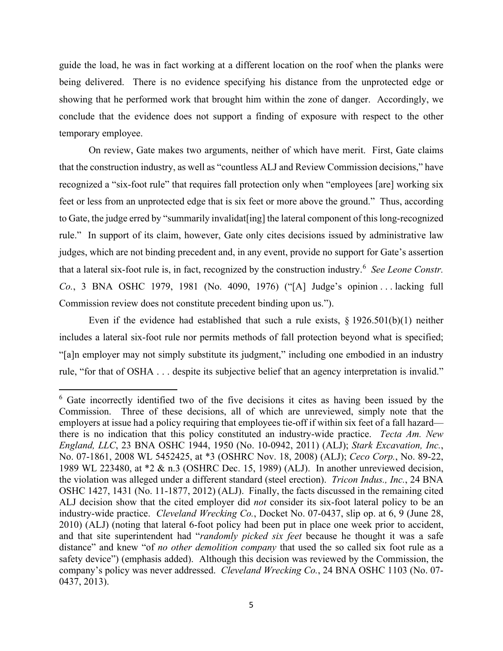guide the load, he was in fact working at a different location on the roof when the planks were being delivered. There is no evidence specifying his distance from the unprotected edge or showing that he performed work that brought him within the zone of danger. Accordingly, we conclude that the evidence does not support a finding of exposure with respect to the other temporary employee.

On review, Gate makes two arguments, neither of which have merit. First, Gate claims that the construction industry, as well as "countless ALJ and Review Commission decisions," have recognized a "six-foot rule" that requires fall protection only when "employees [are] working six feet or less from an unprotected edge that is six feet or more above the ground." Thus, according to Gate, the judge erred by "summarily invalidat[ing] the lateral component of this long-recognized rule." In support of its claim, however, Gate only cites decisions issued by administrative law judges, which are not binding precedent and, in any event, provide no support for Gate's assertion that a lateral six-foot rule is, in fact, recognized by the construction industry.[6](#page-4-0) *See Leone Constr. Co.*, 3 BNA OSHC 1979, 1981 (No. 4090, 1976) ("[A] Judge's opinion . . . lacking full Commission review does not constitute precedent binding upon us.").

Even if the evidence had established that such a rule exists,  $\S 1926.501(b)(1)$  neither includes a lateral six-foot rule nor permits methods of fall protection beyond what is specified; "[a]n employer may not simply substitute its judgment," including one embodied in an industry rule, "for that of OSHA . . . despite its subjective belief that an agency interpretation is invalid."

<span id="page-4-0"></span><sup>6</sup> Gate incorrectly identified two of the five decisions it cites as having been issued by the Commission. Three of these decisions, all of which are unreviewed, simply note that the employers at issue had a policy requiring that employees tie-off if within six feet of a fall hazard there is no indication that this policy constituted an industry-wide practice. *Tecta Am. New England, LLC*, 23 BNA OSHC 1944, 1950 (No. 10-0942, 2011) (ALJ); *Stark Excavation, Inc.*, No. 07-1861, 2008 WL 5452425, at \*3 (OSHRC Nov. 18, 2008) (ALJ); *Ceco Corp.*, No. 89-22, 1989 WL 223480, at \*2 & n.3 (OSHRC Dec. 15, 1989) (ALJ). In another unreviewed decision, the violation was alleged under a different standard (steel erection). *Tricon Indus., Inc.*, 24 BNA OSHC 1427, 1431 (No. 11-1877, 2012) (ALJ). Finally, the facts discussed in the remaining cited ALJ decision show that the cited employer did *not* consider its six-foot lateral policy to be an industry-wide practice. *Cleveland Wrecking Co.*, Docket No. 07-0437, slip op. at 6, 9 (June 28, 2010) (ALJ) (noting that lateral 6-foot policy had been put in place one week prior to accident, and that site superintendent had "*randomly picked six feet* because he thought it was a safe distance" and knew "of *no other demolition company* that used the so called six foot rule as a safety device") (emphasis added). Although this decision was reviewed by the Commission, the company's policy was never addressed. *Cleveland Wrecking Co.*, 24 BNA OSHC 1103 (No. 07- 0437, 2013).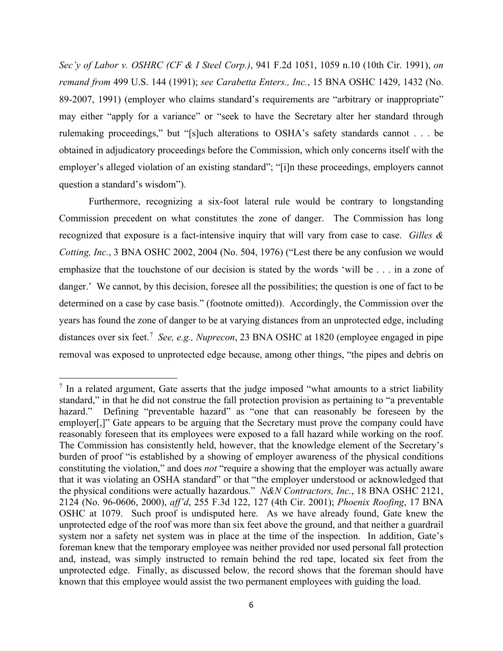*Sec'y of Labor v. OSHRC (CF & I Steel Corp.)*, 941 F.2d 1051, 1059 n.10 (10th Cir. 1991), *on remand from* 499 U.S. 144 (1991); *see Carabetta Enters., Inc.*, 15 BNA OSHC 1429, 1432 (No. 89-2007, 1991) (employer who claims standard's requirements are "arbitrary or inappropriate" may either "apply for a variance" or "seek to have the Secretary alter her standard through rulemaking proceedings," but "[s]uch alterations to OSHA's safety standards cannot . . . be obtained in adjudicatory proceedings before the Commission, which only concerns itself with the employer's alleged violation of an existing standard"; "[i]n these proceedings, employers cannot question a standard's wisdom").

Furthermore, recognizing a six-foot lateral rule would be contrary to longstanding Commission precedent on what constitutes the zone of danger. The Commission has long recognized that exposure is a fact-intensive inquiry that will vary from case to case. *Gilles & Cotting, Inc.*, 3 BNA OSHC 2002, 2004 (No. 504, 1976) ("Lest there be any confusion we would emphasize that the touchstone of our decision is stated by the words 'will be . . . in a zone of danger.' We cannot, by this decision, foresee all the possibilities; the question is one of fact to be determined on a case by case basis." (footnote omitted)).Accordingly, the Commission over the years has found the zone of danger to be at varying distances from an unprotected edge, including distances over six feet.<sup>[7](#page-5-0)</sup> See, e.g., Nuprecon, 23 BNA OSHC at 1820 (employee engaged in pipe removal was exposed to unprotected edge because, among other things, "the pipes and debris on

<span id="page-5-0"></span> $<sup>7</sup>$  In a related argument, Gate asserts that the judge imposed "what amounts to a strict liability</sup> standard," in that he did not construe the fall protection provision as pertaining to "a preventable hazard." Defining "preventable hazard" as "one that can reasonably be foreseen by the employer<sup>[1]</sup>. Gate appears to be arguing that the Secretary must prove the company could have reasonably foreseen that its employees were exposed to a fall hazard while working on the roof. The Commission has consistently held, however, that the knowledge element of the Secretary's burden of proof "is established by a showing of employer awareness of the physical conditions constituting the violation," and does *not* "require a showing that the employer was actually aware that it was violating an OSHA standard" or that "the employer understood or acknowledged that the physical conditions were actually hazardous." *N&N Contractors, Inc.*, 18 BNA OSHC 2121, 2124 (No. 96-0606, 2000), *aff'd*, 255 F.3d 122, 127 (4th Cir. 2001); *Phoenix Roofing*, 17 BNA OSHC at 1079. Such proof is undisputed here. As we have already found, Gate knew the unprotected edge of the roof was more than six feet above the ground, and that neither a guardrail system nor a safety net system was in place at the time of the inspection. In addition, Gate's foreman knew that the temporary employee was neither provided nor used personal fall protection and, instead, was simply instructed to remain behind the red tape, located six feet from the unprotected edge. Finally, as discussed below*,* the record shows that the foreman should have known that this employee would assist the two permanent employees with guiding the load.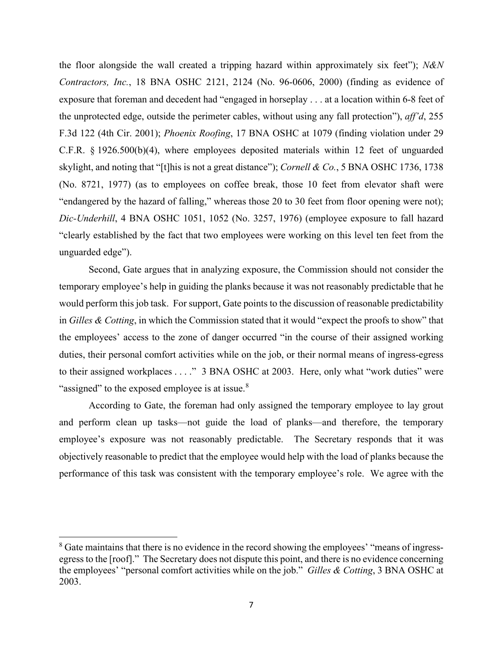the floor alongside the wall created a tripping hazard within approximately six feet"); *N&N Contractors, Inc.*, 18 BNA OSHC 2121, 2124 (No. 96-0606, 2000) (finding as evidence of exposure that foreman and decedent had "engaged in horseplay . . . at a location within 6-8 feet of the unprotected edge, outside the perimeter cables, without using any fall protection"), *aff'd*, 255 F.3d 122 (4th Cir. 2001); *Phoenix Roofing*, 17 BNA OSHC at 1079 (finding violation under 29 C.F.R. § 1926.500(b)(4), where employees deposited materials within 12 feet of unguarded skylight, and noting that "[t]his is not a great distance"); *Cornell & Co.*, 5 BNA OSHC 1736, 1738 (No. 8721, 1977) (as to employees on coffee break, those 10 feet from elevator shaft were "endangered by the hazard of falling," whereas those 20 to 30 feet from floor opening were not); *Dic-Underhill*, 4 BNA OSHC 1051, 1052 (No. 3257, 1976) (employee exposure to fall hazard "clearly established by the fact that two employees were working on this level ten feet from the unguarded edge").

Second, Gate argues that in analyzing exposure, the Commission should not consider the temporary employee's help in guiding the planks because it was not reasonably predictable that he would perform this job task. For support, Gate points to the discussion of reasonable predictability in *Gilles & Cotting*, in which the Commission stated that it would "expect the proofs to show" that the employees' access to the zone of danger occurred "in the course of their assigned working duties, their personal comfort activities while on the job, or their normal means of ingress-egress to their assigned workplaces . . . ." 3 BNA OSHC at 2003. Here, only what "work duties" were "assigned" to the exposed employee is at issue. $8$ 

According to Gate, the foreman had only assigned the temporary employee to lay grout and perform clean up tasks—not guide the load of planks—and therefore, the temporary employee's exposure was not reasonably predictable. The Secretary responds that it was objectively reasonable to predict that the employee would help with the load of planks because the performance of this task was consistent with the temporary employee's role. We agree with the

<span id="page-6-0"></span><sup>&</sup>lt;sup>8</sup> Gate maintains that there is no evidence in the record showing the employees' "means of ingressegress to the [roof]." The Secretary does not dispute this point, and there is no evidence concerning the employees' "personal comfort activities while on the job." *Gilles & Cotting*, 3 BNA OSHC at 2003.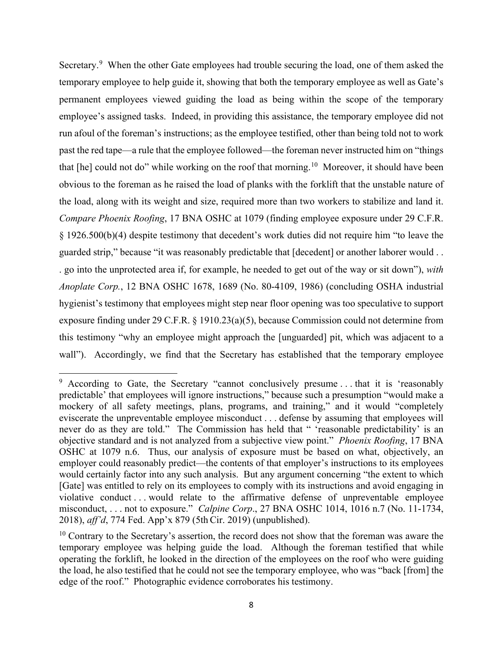Secretary.<sup>[9](#page-7-0)</sup> When the other Gate employees had trouble securing the load, one of them asked the temporary employee to help guide it, showing that both the temporary employee as well as Gate's permanent employees viewed guiding the load as being within the scope of the temporary employee's assigned tasks. Indeed, in providing this assistance, the temporary employee did not run afoul of the foreman's instructions; as the employee testified, other than being told not to work past the red tape—a rule that the employee followed—the foreman never instructed him on "things that [he] could not do" while working on the roof that morning.<sup>10</sup> Moreover, it should have been obvious to the foreman as he raised the load of planks with the forklift that the unstable nature of the load, along with its weight and size, required more than two workers to stabilize and land it. *Compare Phoenix Roofing*, 17 BNA OSHC at 1079 (finding employee exposure under 29 C.F.R. § 1926.500(b)(4) despite testimony that decedent's work duties did not require him "to leave the guarded strip," because "it was reasonably predictable that [decedent] or another laborer would . . . go into the unprotected area if, for example, he needed to get out of the way or sit down"), *with Anoplate Corp.*, 12 BNA OSHC 1678, 1689 (No. 80-4109, 1986) (concluding OSHA industrial hygienist's testimony that employees might step near floor opening was too speculative to support exposure finding under 29 C.F.R. § 1910.23(a)(5), because Commission could not determine from this testimony "why an employee might approach the [unguarded] pit, which was adjacent to a wall"). Accordingly, we find that the Secretary has established that the temporary employee

<span id="page-7-0"></span> $9$  According to Gate, the Secretary "cannot conclusively presume ... that it is 'reasonably predictable' that employees will ignore instructions," because such a presumption "would make a mockery of all safety meetings, plans, programs, and training," and it would "completely eviscerate the unpreventable employee misconduct . . . defense by assuming that employees will never do as they are told." The Commission has held that " 'reasonable predictability' is an objective standard and is not analyzed from a subjective view point." *Phoenix Roofing*, 17 BNA OSHC at 1079 n.6. Thus, our analysis of exposure must be based on what, objectively, an employer could reasonably predict—the contents of that employer's instructions to its employees would certainly factor into any such analysis. But any argument concerning "the extent to which [Gate] was entitled to rely on its employees to comply with its instructions and avoid engaging in violative conduct . . . would relate to the affirmative defense of unpreventable employee misconduct, . . . not to exposure." *Calpine Corp*., 27 BNA OSHC 1014, 1016 n.7 (No. 11-1734, 2018), *aff'd*, 774 Fed. App'x 879 (5thCir. 2019) (unpublished).

<span id="page-7-1"></span> $10$  Contrary to the Secretary's assertion, the record does not show that the foreman was aware the temporary employee was helping guide the load. Although the foreman testified that while operating the forklift, he looked in the direction of the employees on the roof who were guiding the load, he also testified that he could not see the temporary employee, who was "back [from] the edge of the roof." Photographic evidence corroborates his testimony.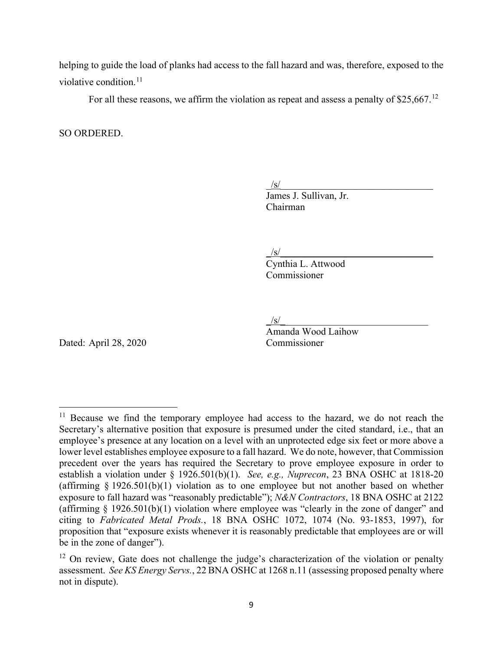helping to guide the load of planks had access to the fall hazard and was, therefore, exposed to the violative condition.<sup>11</sup>

For all these reasons, we affirm the violation as repeat and assess a penalty of \$25,667.<sup>12</sup>

SO ORDERED.

 $\frac{1}{s}$ 

James J. Sullivan, Jr. Chairman

 $\sqrt{s/}$ 

Cynthia L. Attwood Commissioner

 $/\mathrm{s}/\_$ 

Amanda Wood Laihow

Dated: April 28, 2020 Commissioner

<span id="page-8-0"></span><sup>&</sup>lt;sup>11</sup> Because we find the temporary employee had access to the hazard, we do not reach the Secretary's alternative position that exposure is presumed under the cited standard, i.e., that an employee's presence at any location on a level with an unprotected edge six feet or more above a lower level establishes employee exposure to a fall hazard. We do note, however, that Commission precedent over the years has required the Secretary to prove employee exposure in order to establish a violation under § 1926.501(b)(1). *See, e.g., Nuprecon*, 23 BNA OSHC at 1818-20 (affirming  $\S 1926.501(b)(1)$  violation as to one employee but not another based on whether exposure to fall hazard was "reasonably predictable"); *N&N Contractors*, 18 BNA OSHC at 2122 (affirming  $\S$  1926.501(b)(1) violation where employee was "clearly in the zone of danger" and citing to *Fabricated Metal Prods.*, 18 BNA OSHC 1072, 1074 (No. 93-1853, 1997), for proposition that "exposure exists whenever it is reasonably predictable that employees are or will be in the zone of danger").

<span id="page-8-1"></span><sup>&</sup>lt;sup>12</sup> On review, Gate does not challenge the judge's characterization of the violation or penalty assessment. *See KS Energy Servs.*, 22 BNA OSHC at 1268 n.11 (assessing proposed penalty where not in dispute).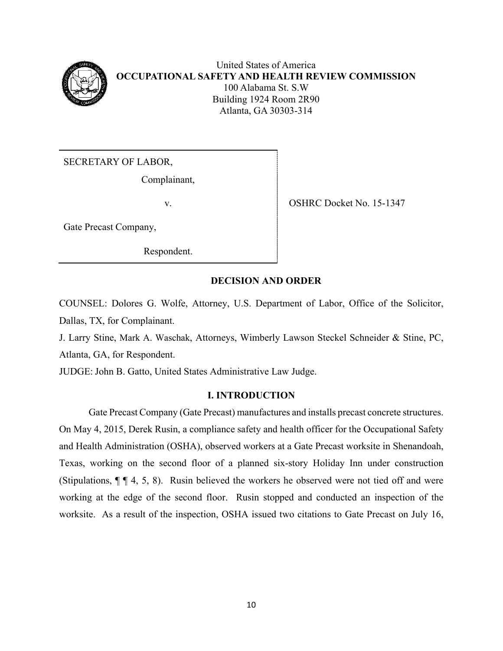

United States of America **OCCUPATIONAL SAFETY AND HEALTH REVIEW COMMISSION** 100 Alabama St. S.W Building 1924 Room 2R90 Atlanta, GA 30303-314

SECRETARY OF LABOR,

Complainant,

v. SHRC Docket No. 15-1347

Gate Precast Company,

Respondent.

## **DECISION AND ORDER**

COUNSEL: Dolores G. Wolfe, Attorney, U.S. Department of Labor, Office of the Solicitor, Dallas, TX, for Complainant.

J. Larry Stine, Mark A. Waschak, Attorneys, Wimberly Lawson Steckel Schneider & Stine, PC, Atlanta, GA, for Respondent.

JUDGE: John B. Gatto, United States Administrative Law Judge.

## **I. INTRODUCTION**

Gate Precast Company (Gate Precast) manufactures and installs precast concrete structures. On May 4, 2015, Derek Rusin, a compliance safety and health officer for the Occupational Safety and Health Administration (OSHA), observed workers at a Gate Precast worksite in Shenandoah, Texas, working on the second floor of a planned six-story Holiday Inn under construction (Stipulations, ¶ ¶ 4, 5, 8). Rusin believed the workers he observed were not tied off and were working at the edge of the second floor. Rusin stopped and conducted an inspection of the worksite. As a result of the inspection, OSHA issued two citations to Gate Precast on July 16,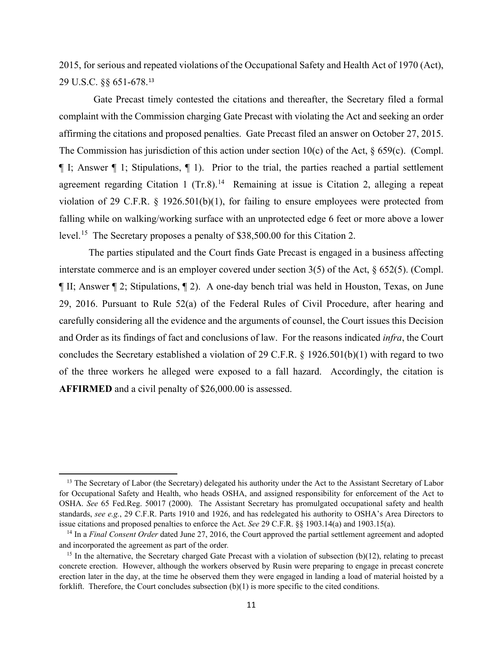2015, for serious and repeated violations of the Occupational Safety and Health Act of 1970 (Act), 29 U.S.C. §§ 651-678.[13](#page-10-0) 

 Gate Precast timely contested the citations and thereafter, the Secretary filed a formal complaint with the Commission charging Gate Precast with violating the Act and seeking an order affirming the citations and proposed penalties. Gate Precast filed an answer on October 27, 2015. The Commission has jurisdiction of this action under section  $10(c)$  of the Act, § 659(c). (Compl. ¶ I; Answer ¶ 1; Stipulations, ¶ 1). Prior to the trial, the parties reached a partial settlement agreement regarding Citation 1  $(Tr.8)^{14}$  $(Tr.8)^{14}$  $(Tr.8)^{14}$  Remaining at issue is Citation 2, alleging a repeat violation of 29 C.F.R. § 1926.501(b)(1), for failing to ensure employees were protected from falling while on walking/working surface with an unprotected edge 6 feet or more above a lower level. [15](#page-10-2) The Secretary proposes a penalty of \$38,500.00 for this Citation 2.

The parties stipulated and the Court finds Gate Precast is engaged in a business affecting interstate commerce and is an employer covered under section 3(5) of the Act, § 652(5). (Compl. ¶ II; Answer ¶ 2; Stipulations, ¶ 2). A one-day bench trial was held in Houston, Texas, on June 29, 2016. Pursuant to Rule 52(a) of the Federal Rules of Civil Procedure, after hearing and carefully considering all the evidence and the arguments of counsel, the Court issues this Decision and Order as its findings of fact and conclusions of law. For the reasons indicated *infra*, the Court concludes the Secretary established a violation of 29 C.F.R. § 1926.501(b)(1) with regard to two of the three workers he alleged were exposed to a fall hazard. Accordingly, the citation is **AFFIRMED** and a civil penalty of \$26,000.00 is assessed.

<span id="page-10-0"></span> $<sup>13</sup>$  The Secretary of Labor (the Secretary) delegated his authority under the Act to the Assistant Secretary of Labor</sup> for Occupational Safety and Health, who heads OSHA, and assigned responsibility for enforcement of the Act to OSHA. *See* 65 Fed.Reg. 50017 (2000). The Assistant Secretary has promulgated occupational safety and health standards, *see e.g.*, 29 C.F.R. Parts 1910 and 1926, and has redelegated his authority to OSHA's Area Directors to issue citations and proposed penalties to enforce the Act. *See* 29 C.F.R. §§ 1903.14(a) and 1903.15(a).

<span id="page-10-1"></span><sup>14</sup> In a *Final Consent Order* dated June 27, 2016, the Court approved the partial settlement agreement and adopted and incorporated the agreement as part of the order*.*

<span id="page-10-2"></span><sup>&</sup>lt;sup>15</sup> In the alternative, the Secretary charged Gate Precast with a violation of subsection (b)(12), relating to precast concrete erection. However, although the workers observed by Rusin were preparing to engage in precast concrete erection later in the day, at the time he observed them they were engaged in landing a load of material hoisted by a forklift. Therefore, the Court concludes subsection  $(b)(1)$  is more specific to the cited conditions.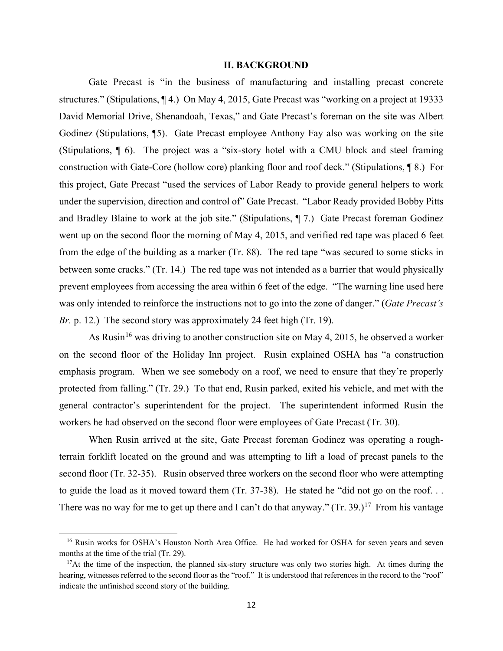#### **II. BACKGROUND**

Gate Precast is "in the business of manufacturing and installing precast concrete structures." (Stipulations, ¶ 4.) On May 4, 2015, Gate Precast was "working on a project at 19333 David Memorial Drive, Shenandoah, Texas," and Gate Precast's foreman on the site was Albert Godinez (Stipulations, ¶5). Gate Precast employee Anthony Fay also was working on the site (Stipulations, ¶ 6). The project was a "six-story hotel with a CMU block and steel framing construction with Gate-Core (hollow core) planking floor and roof deck." (Stipulations, ¶ 8.) For this project, Gate Precast "used the services of Labor Ready to provide general helpers to work under the supervision, direction and control of" Gate Precast. "Labor Ready provided Bobby Pitts and Bradley Blaine to work at the job site." (Stipulations, ¶ 7.) Gate Precast foreman Godinez went up on the second floor the morning of May 4, 2015, and verified red tape was placed 6 feet from the edge of the building as a marker (Tr. 88). The red tape "was secured to some sticks in between some cracks." (Tr. 14.) The red tape was not intended as a barrier that would physically prevent employees from accessing the area within 6 feet of the edge. "The warning line used here was only intended to reinforce the instructions not to go into the zone of danger." (*Gate Precast's Br.* p. 12.) The second story was approximately 24 feet high (Tr. 19).

As Rusin<sup>[16](#page-11-0)</sup> was driving to another construction site on May 4, 2015, he observed a worker on the second floor of the Holiday Inn project. Rusin explained OSHA has "a construction emphasis program. When we see somebody on a roof, we need to ensure that they're properly protected from falling." (Tr. 29.) To that end, Rusin parked, exited his vehicle, and met with the general contractor's superintendent for the project. The superintendent informed Rusin the workers he had observed on the second floor were employees of Gate Precast (Tr. 30).

When Rusin arrived at the site, Gate Precast foreman Godinez was operating a roughterrain forklift located on the ground and was attempting to lift a load of precast panels to the second floor (Tr. 32-35). Rusin observed three workers on the second floor who were attempting to guide the load as it moved toward them (Tr. 37-38). He stated he "did not go on the roof. . . There was no way for me to get up there and I can't do that anyway."  $(Tr. 39.)^{17}$  From his vantage

<span id="page-11-0"></span><sup>&</sup>lt;sup>16</sup> Rusin works for OSHA's Houston North Area Office. He had worked for OSHA for seven years and seven months at the time of the trial (Tr. 29).

<span id="page-11-1"></span><sup>&</sup>lt;sup>17</sup>At the time of the inspection, the planned six-story structure was only two stories high. At times during the hearing, witnesses referred to the second floor as the "roof." It is understood that references in the record to the "roof" indicate the unfinished second story of the building.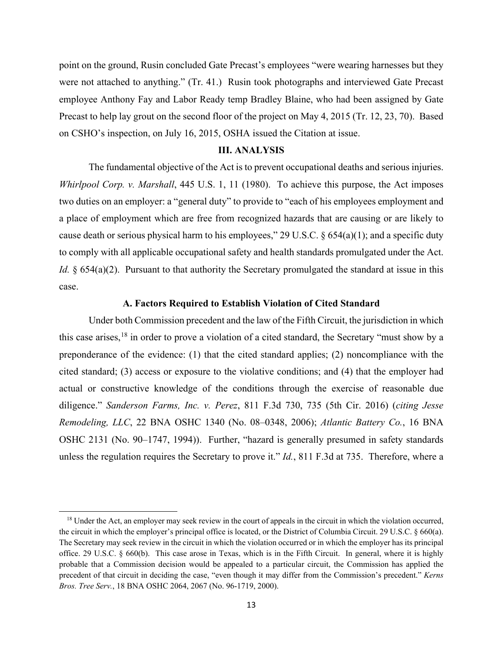point on the ground, Rusin concluded Gate Precast's employees "were wearing harnesses but they were not attached to anything." (Tr. 41.) Rusin took photographs and interviewed Gate Precast employee Anthony Fay and Labor Ready temp Bradley Blaine, who had been assigned by Gate Precast to help lay grout on the second floor of the project on May 4, 2015 (Tr. 12, 23, 70). Based on CSHO's inspection, on July 16, 2015, OSHA issued the Citation at issue.

### **III. ANALYSIS**

The fundamental objective of the Act is to prevent occupational deaths and serious injuries. *Whirlpool Corp. v. Marshall*, 445 U.S. 1, 11 (1980). To achieve this purpose, the Act imposes two duties on an employer: a "general duty" to provide to "each of his employees employment and a place of employment which are free from recognized hazards that are causing or are likely to cause death or serious physical harm to his employees," 29 U.S.C.  $\S 654(a)(1)$ ; and a specific duty to comply with all applicable occupational safety and health standards promulgated under the Act. *Id.* § 654(a)(2). Pursuant to that authority the Secretary promulgated the standard at issue in this case.

### **A. Factors Required to Establish Violation of Cited Standard**

Under both Commission precedent and the law of the Fifth Circuit, the jurisdiction in which this case arises,  $^{18}$  $^{18}$  $^{18}$  in order to prove a violation of a cited standard, the Secretary "must show by a preponderance of the evidence: (1) that the cited standard applies; (2) noncompliance with the cited standard; (3) access or exposure to the violative conditions; and (4) that the employer had actual or constructive knowledge of the conditions through the exercise of reasonable due diligence." *Sanderson Farms, Inc. v. Perez*, 811 F.3d 730, 735 (5th Cir. 2016) (*citing Jesse Remodeling, LLC*, 22 BNA OSHC 1340 (No. 08–0348, 2006); *Atlantic Battery Co.*, 16 BNA OSHC 2131 (No. 90–1747, 1994)). Further, "hazard is generally presumed in safety standards unless the regulation requires the Secretary to prove it." *Id.*, 811 F.3d at 735. Therefore, where a

<span id="page-12-0"></span><sup>&</sup>lt;sup>18</sup> Under the Act, an employer may seek review in the court of appeals in the circuit in which the violation occurred, the circuit in which the employer's principal office is located, or the District of Columbia Circuit. 29 U.S.C. § 660(a). The Secretary may seek review in the circuit in which the violation occurred or in which the employer has its principal office. 29 U.S.C. § 660(b). This case arose in Texas, which is in the Fifth Circuit. In general, where it is highly probable that a Commission decision would be appealed to a particular circuit, the Commission has applied the precedent of that circuit in deciding the case, "even though it may differ from the Commission's precedent." *Kerns Bros. Tree Serv.*, 18 BNA OSHC 2064, 2067 (No. 96-1719, 2000).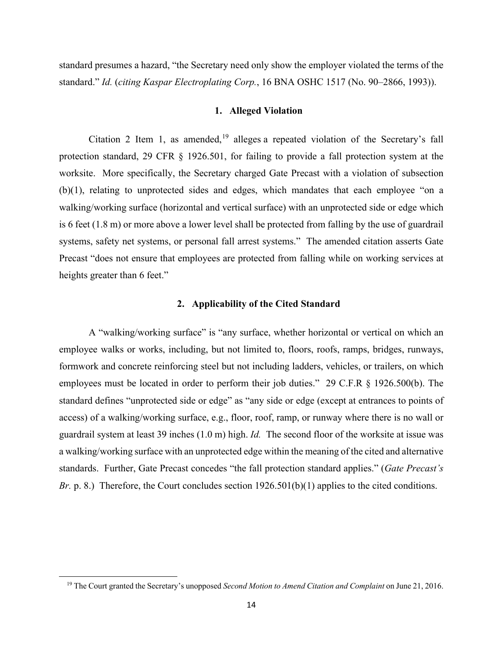standard presumes a hazard, "the Secretary need only show the employer violated the terms of the standard." *Id.* (*citing Kaspar Electroplating Corp.*, 16 BNA OSHC 1517 (No. 90–2866, 1993)).

### **1. Alleged Violation**

Citation 2 Item 1, as amended, $19$  alleges a repeated violation of the Secretary's fall protection standard, 29 CFR § 1926.501, for failing to provide a fall protection system at the worksite. More specifically, the Secretary charged Gate Precast with a violation of subsection (b)(1), relating to unprotected sides and edges, which mandates that each employee "on a walking/working surface (horizontal and vertical surface) with an unprotected side or edge which is 6 feet (1.8 m) or more above a lower level shall be protected from falling by the use of guardrail systems, safety net systems, or personal fall arrest systems." The amended citation asserts Gate Precast "does not ensure that employees are protected from falling while on working services at heights greater than 6 feet."

## **2. Applicability of the Cited Standard**

A "walking/working surface" is "any surface, whether horizontal or vertical on which an employee walks or works, including, but not limited to, floors, roofs, ramps, bridges, runways, formwork and concrete reinforcing steel but not including ladders, vehicles, or trailers, on which employees must be located in order to perform their job duties." 29 C.F.R § 1926.500(b). The standard defines "unprotected side or edge" as "any side or edge (except at entrances to points of access) of a walking/working surface, e.g., floor, roof, ramp, or runway where there is no wall or guardrail system at least 39 inches (1.0 m) high. *Id.* The second floor of the worksite at issue was a walking/working surface with an unprotected edge within the meaning of the cited and alternative standards. Further, Gate Precast concedes "the fall protection standard applies." (*Gate Precast's Br.* p. 8.) Therefore, the Court concludes section  $1926.501(b)(1)$  applies to the cited conditions.

<span id="page-13-0"></span><sup>19</sup> The Court granted the Secretary's unopposed *Second Motion to Amend Citation and Complaint* on June 21, 2016.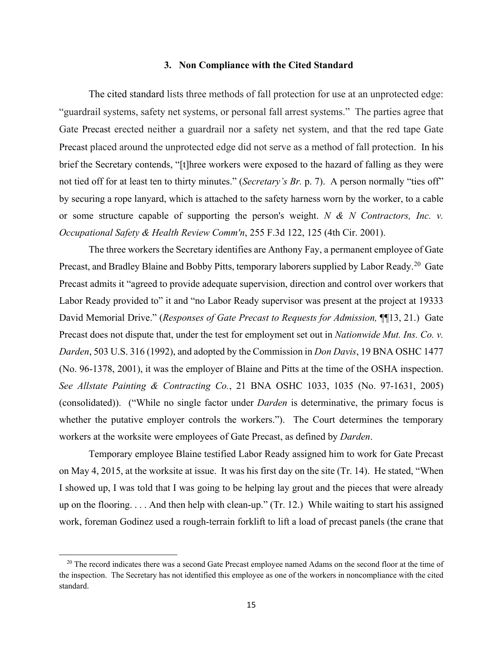### **3. Non Compliance with the Cited Standard**

The cited standard lists three methods of fall protection for use at an unprotected edge: "guardrail systems, safety net systems, or personal fall arrest systems." The parties agree that Gate Precast erected neither a guardrail nor a safety net system, and that the red tape Gate Precast placed around the unprotected edge did not serve as a method of fall protection. In his brief the Secretary contends, "[t]hree workers were exposed to the hazard of falling as they were not tied off for at least ten to thirty minutes." (*Secretary's Br.* p. 7). A person normally "ties off" by securing a rope lanyard, which is attached to the safety harness worn by the worker, to a cable or some structure capable of supporting the person's weight. *N & N Contractors, Inc. v. Occupational Safety & Health Review Comm'n*, 255 F.3d 122, 125 (4th Cir. 2001).

The three workers the Secretary identifies are Anthony Fay, a permanent employee of Gate Precast, and Bradley Blaine and Bobby Pitts, temporary laborers supplied by Labor Ready.<sup>[20](#page-14-0)</sup> Gate Precast admits it "agreed to provide adequate supervision, direction and control over workers that Labor Ready provided to" it and "no Labor Ready supervisor was present at the project at 19333 David Memorial Drive." (*Responses of Gate Precast to Requests for Admission*, **[16**] [13, 21.] Gate Precast does not dispute that, under the test for employment set out in *Nationwide Mut. Ins. Co. v. Darden*, 503 U.S. 316 (1992), and adopted by the Commission in *Don Davis*, 19 BNA OSHC 1477 (No. 96-1378, 2001), it was the employer of Blaine and Pitts at the time of the OSHA inspection. *See Allstate Painting & Contracting Co.*, 21 BNA OSHC 1033, 1035 (No. 97-1631, 2005) (consolidated)). ("While no single factor under *Darden* is determinative, the primary focus is whether the putative employer controls the workers."). The Court determines the temporary workers at the worksite were employees of Gate Precast, as defined by *Darden*.

Temporary employee Blaine testified Labor Ready assigned him to work for Gate Precast on May 4, 2015, at the worksite at issue. It was his first day on the site (Tr. 14). He stated, "When I showed up, I was told that I was going to be helping lay grout and the pieces that were already up on the flooring. . . . And then help with clean-up." (Tr. 12.) While waiting to start his assigned work, foreman Godinez used a rough-terrain forklift to lift a load of precast panels (the crane that

<span id="page-14-0"></span><sup>&</sup>lt;sup>20</sup> The record indicates there was a second Gate Precast employee named Adams on the second floor at the time of the inspection. The Secretary has not identified this employee as one of the workers in noncompliance with the cited standard.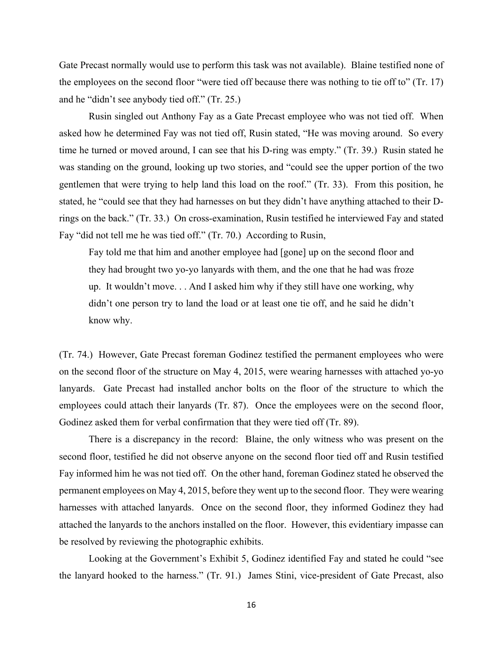Gate Precast normally would use to perform this task was not available). Blaine testified none of the employees on the second floor "were tied off because there was nothing to tie off to" (Tr. 17) and he "didn't see anybody tied off." (Tr. 25.)

Rusin singled out Anthony Fay as a Gate Precast employee who was not tied off. When asked how he determined Fay was not tied off, Rusin stated, "He was moving around. So every time he turned or moved around, I can see that his D-ring was empty." (Tr. 39.) Rusin stated he was standing on the ground, looking up two stories, and "could see the upper portion of the two gentlemen that were trying to help land this load on the roof." (Tr. 33). From this position, he stated, he "could see that they had harnesses on but they didn't have anything attached to their Drings on the back." (Tr. 33.) On cross-examination, Rusin testified he interviewed Fay and stated Fay "did not tell me he was tied off." (Tr. 70.) According to Rusin,

Fay told me that him and another employee had [gone] up on the second floor and they had brought two yo-yo lanyards with them, and the one that he had was froze up. It wouldn't move. . . And I asked him why if they still have one working, why didn't one person try to land the load or at least one tie off, and he said he didn't know why.

(Tr. 74.) However, Gate Precast foreman Godinez testified the permanent employees who were on the second floor of the structure on May 4, 2015, were wearing harnesses with attached yo-yo lanyards. Gate Precast had installed anchor bolts on the floor of the structure to which the employees could attach their lanyards (Tr. 87). Once the employees were on the second floor, Godinez asked them for verbal confirmation that they were tied off (Tr. 89).

There is a discrepancy in the record: Blaine, the only witness who was present on the second floor, testified he did not observe anyone on the second floor tied off and Rusin testified Fay informed him he was not tied off. On the other hand, foreman Godinez stated he observed the permanent employees on May 4, 2015, before they went up to the second floor. They were wearing harnesses with attached lanyards. Once on the second floor, they informed Godinez they had attached the lanyards to the anchors installed on the floor. However, this evidentiary impasse can be resolved by reviewing the photographic exhibits.

Looking at the Government's Exhibit 5, Godinez identified Fay and stated he could "see the lanyard hooked to the harness." (Tr. 91.) James Stini, vice-president of Gate Precast, also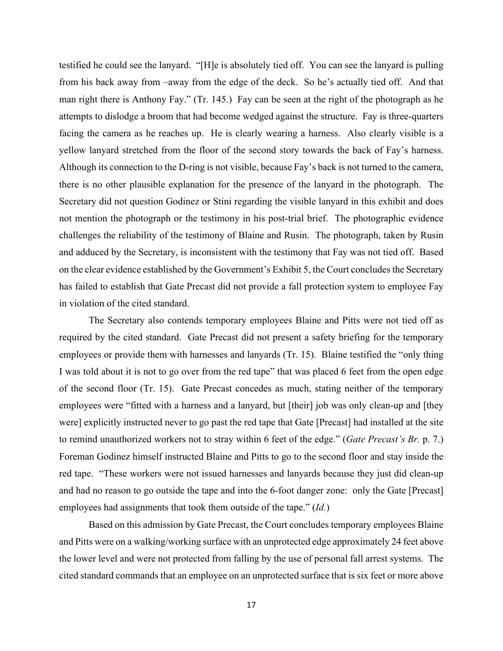testified he could see the lanyard. "[H]e is absolutely tied off. You can see the lanyard is pulling from his back away from –away from the edge of the deck. So he's actually tied off. And that man right there is Anthony Fay." (Tr. 145.) Fay can be seen at the right of the photograph as he attempts to dislodge a broom that had become wedged against the structure. Fay is three-quarters facing the camera as he reaches up. He is clearly wearing a harness. Also clearly visible is a yellow lanyard stretched from the floor of the second story towards the back of Fay's harness. Although its connection to the D-ring is not visible, because Fay's back is not turned to the camera, there is no other plausible explanation for the presence of the lanyard in the photograph. The Secretary did not question Godinez or Stini regarding the visible lanyard in this exhibit and does not mention the photograph or the testimony in his post-trial brief. The photographic evidence challenges the reliability of the testimony of Blaine and Rusin. The photograph, taken by Rusin and adduced by the Secretary, is inconsistent with the testimony that Fay was not tied off. Based on the clear evidence established by the Government's Exhibit 5, the Court concludes the Secretary has failed to establish that Gate Precast did not provide a fall protection system to employee Fay in violation of the cited standard.

The Secretary also contends temporary employees Blaine and Pitts were not tied off as required by the cited standard. Gate Precast did not present a safety briefing for the temporary employees or provide them with harnesses and lanyards (Tr. 15). Blaine testified the "only thing I was told about it is not to go over from the red tape" that was placed 6 feet from the open edge of the second floor (Tr. 15). Gate Precast concedes as much, stating neither of the temporary employees were "fitted with a harness and a lanyard, but [their] job was only clean-up and [they were] explicitly instructed never to go past the red tape that Gate [Precast] had installed at the site to remind unauthorized workers not to stray within 6 feet of the edge." (*Gate Precast's Br.* p. 7.) Foreman Godinez himself instructed Blaine and Pitts to go to the second floor and stay inside the red tape. "These workers were not issued harnesses and lanyards because they just did clean-up and had no reason to go outside the tape and into the 6-foot danger zone: only the Gate [Precast] employees had assignments that took them outside of the tape." (*Id.*)

Based on this admission by Gate Precast, the Court concludes temporary employees Blaine and Pitts were on a walking/working surface with an unprotected edge approximately 24 feet above the lower level and were not protected from falling by the use of personal fall arrest systems. The cited standard commands that an employee on an unprotected surface that is six feet or more above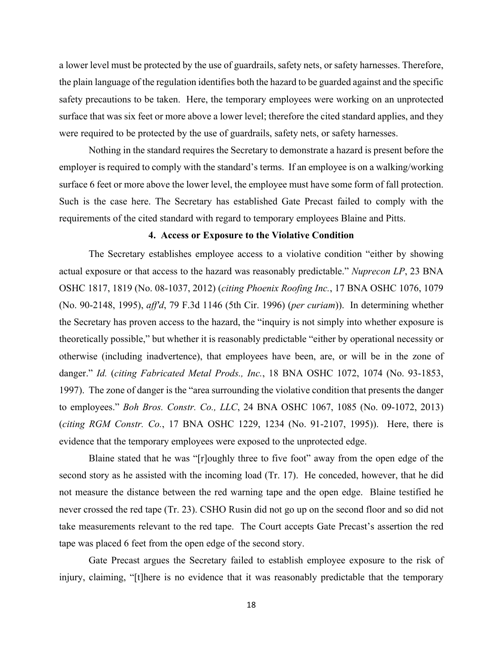a lower level must be protected by the use of guardrails, safety nets, or safety harnesses. Therefore, the plain language of the regulation identifies both the hazard to be guarded against and the specific safety precautions to be taken. Here, the temporary employees were working on an unprotected surface that was six feet or more above a lower level; therefore the cited standard applies, and they were required to be protected by the use of guardrails, safety nets, or safety harnesses.

Nothing in the standard requires the Secretary to demonstrate a hazard is present before the employer is required to comply with the standard's terms. If an employee is on a walking/working surface 6 feet or more above the lower level, the employee must have some form of fall protection. Such is the case here. The Secretary has established Gate Precast failed to comply with the requirements of the cited standard with regard to temporary employees Blaine and Pitts.

### **4. Access or Exposure to the Violative Condition**

The Secretary establishes employee access to a violative condition "either by showing actual exposure or that access to the hazard was reasonably predictable." *Nuprecon LP*, 23 BNA OSHC 1817, 1819 (No. 08-1037, 2012) (*citing Phoenix Roofing Inc.*, 17 BNA OSHC 1076, 1079 (No. 90-2148, 1995), *aff'd*, 79 F.3d 1146 (5th Cir. 1996) (*per curiam*)). In determining whether the Secretary has proven access to the hazard, the "inquiry is not simply into whether exposure is theoretically possible," but whether it is reasonably predictable "either by operational necessity or otherwise (including inadvertence), that employees have been, are, or will be in the zone of danger." *Id.* (*citing Fabricated Metal Prods., Inc.*, 18 BNA OSHC 1072, 1074 (No. 93-1853, 1997). The zone of danger is the "area surrounding the violative condition that presents the danger to employees." *Boh Bros. Constr. Co., LLC*, 24 BNA OSHC 1067, 1085 (No. 09-1072, 2013) (*citing RGM Constr. Co.*, 17 BNA OSHC 1229, 1234 (No. 91-2107, 1995)). Here, there is evidence that the temporary employees were exposed to the unprotected edge.

Blaine stated that he was "[r]oughly three to five foot" away from the open edge of the second story as he assisted with the incoming load (Tr. 17). He conceded, however, that he did not measure the distance between the red warning tape and the open edge. Blaine testified he never crossed the red tape (Tr. 23). CSHO Rusin did not go up on the second floor and so did not take measurements relevant to the red tape. The Court accepts Gate Precast's assertion the red tape was placed 6 feet from the open edge of the second story.

Gate Precast argues the Secretary failed to establish employee exposure to the risk of injury, claiming, "[t]here is no evidence that it was reasonably predictable that the temporary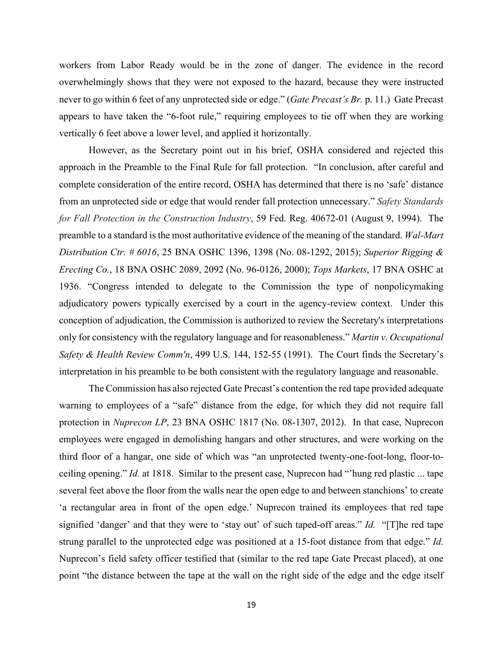workers from Labor Ready would be in the zone of danger. The evidence in the record overwhelmingly shows that they were not exposed to the hazard, because they were instructed never to go within 6 feet of any unprotected side or edge." (*Gate Precast's Br.* p. 11.) Gate Precast appears to have taken the "6-foot rule," requiring employees to tie off when they are working vertically 6 feet above a lower level, and applied it horizontally.

However, as the Secretary point out in his brief, OSHA considered and rejected this approach in the Preamble to the Final Rule for fall protection. "In conclusion, after careful and complete consideration of the entire record, OSHA has determined that there is no 'safe' distance from an unprotected side or edge that would render fall protection unnecessary." *Safety Standards for Fall Protection in the Construction Industry*, 59 Fed. Reg. 40672-01 (August 9, 1994). The preamble to a standard is the most authoritative evidence of the meaning of the standard. *Wal-Mart Distribution Ctr. # 6016*, 25 BNA OSHC 1396, 1398 (No. 08-1292, 2015); *Superior Rigging & Erecting Co.*, 18 BNA OSHC 2089, 2092 (No. 96-0126, 2000); *Tops Markets*, 17 BNA OSHC at 1936. "Congress intended to delegate to the Commission the type of nonpolicymaking adjudicatory powers typically exercised by a court in the agency-review context. Under this conception of adjudication, the Commission is authorized to review the Secretary's interpretations only for consistency with the regulatory language and for reasonableness." *Martin v. Occupational Safety & Health Review Comm'n*, 499 U.S. 144, 152-55 (1991). The Court finds the Secretary's interpretation in his preamble to be both consistent with the regulatory language and reasonable.

 The Commission has also rejected Gate Precast's contention the red tape provided adequate warning to employees of a "safe" distance from the edge, for which they did not require fall protection in *Nuprecon LP*, 23 BNA OSHC 1817 (No. 08-1307, 2012). In that case, Nuprecon employees were engaged in demolishing hangars and other structures, and were working on the third floor of a hangar, one side of which was "an unprotected twenty-one-foot-long, floor-toceiling opening." *Id.* at 1818. Similar to the present case, Nuprecon had "'hung red plastic ... tape several feet above the floor from the walls near the open edge to and between stanchions' to create 'a rectangular area in front of the open edge.' Nuprecon trained its employees that red tape signified 'danger' and that they were to 'stay out' of such taped-off areas." *Id.* "[T]he red tape strung parallel to the unprotected edge was positioned at a 15-foot distance from that edge." *Id.*  Nuprecon's field safety officer testified that (similar to the red tape Gate Precast placed), at one point "the distance between the tape at the wall on the right side of the edge and the edge itself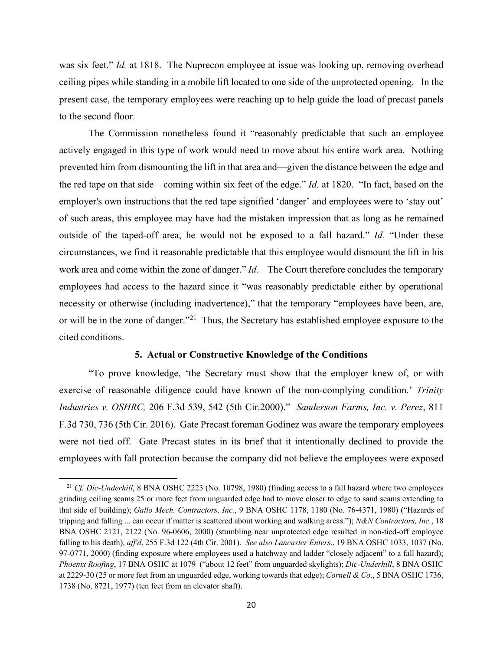was six feet." *Id.* at 1818. The Nuprecon employee at issue was looking up, removing overhead ceiling pipes while standing in a mobile lift located to one side of the unprotected opening. In the present case, the temporary employees were reaching up to help guide the load of precast panels to the second floor.

The Commission nonetheless found it "reasonably predictable that such an employee actively engaged in this type of work would need to move about his entire work area. Nothing prevented him from dismounting the lift in that area and—given the distance between the edge and the red tape on that side—coming within six feet of the edge." *Id.* at 1820. "In fact, based on the employer's own instructions that the red tape signified 'danger' and employees were to 'stay out' of such areas, this employee may have had the mistaken impression that as long as he remained outside of the taped-off area, he would not be exposed to a fall hazard." *Id.* "Under these circumstances, we find it reasonable predictable that this employee would dismount the lift in his work area and come within the zone of danger." *Id.* The Court therefore concludes the temporary employees had access to the hazard since it "was reasonably predictable either by operational necessity or otherwise (including inadvertence)," that the temporary "employees have been, are, or will be in the zone of danger."<sup>[21](#page-19-0)</sup> Thus, the Secretary has established employee exposure to the cited conditions.

### **5. Actual or Constructive Knowledge of the Conditions**

"To prove knowledge, 'the Secretary must show that the employer knew of, or with exercise of reasonable diligence could have known of the non-complying condition.' *Trinity Industries v. OSHRC,* 206 F.3d 539, 542 (5th Cir.2000)." *Sanderson Farms, Inc. v. Perez*, 811 F.3d 730, 736 (5th Cir. 2016). Gate Precast foreman Godinez was aware the temporary employees were not tied off. Gate Precast states in its brief that it intentionally declined to provide the employees with fall protection because the company did not believe the employees were exposed

<span id="page-19-0"></span><sup>&</sup>lt;sup>21</sup> *Cf. Dic-Underhill*, 8 BNA OSHC 2223 (No. 10798, 1980) (finding access to a fall hazard where two employees grinding ceiling seams 25 or more feet from unguarded edge had to move closer to edge to sand seams extending to that side of building); *Gallo Mech. Contractors, Inc.*, 9 BNA OSHC 1178, 1180 (No. 76-4371, 1980) ("Hazards of tripping and falling ... can occur if matter is scattered about working and walking areas."); *N&N Contractors, Inc.*, 18 BNA OSHC 2121, 2122 (No. 96-0606, 2000) (stumbling near unprotected edge resulted in non-tied-off employee falling to his death), *aff'd*, 255 F.3d 122 (4th Cir. 2001). *See also Lancaster Enters*., 19 BNA OSHC 1033, 1037 (No. 97-0771, 2000) (finding exposure where employees used a hatchway and ladder "closely adjacent" to a fall hazard); *Phoenix Roofing*, 17 BNA OSHC at 1079 ("about 12 feet" from unguarded skylights); *Dic-Underhill*, 8 BNA OSHC at 2229-30 (25 or more feet from an unguarded edge, working towards that edge); *Cornell & Co.*, 5 BNA OSHC 1736, 1738 (No. 8721, 1977) (ten feet from an elevator shaft).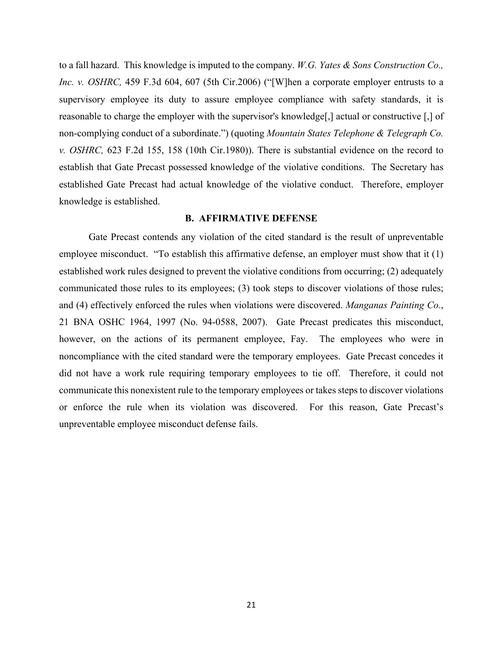to a fall hazard. This knowledge is imputed to the company. *W.G. Yates & Sons Construction Co., Inc. v. OSHRC*, 459 F.3d 604, 607 (5th Cir.2006) ("[W]hen a corporate employer entrusts to a supervisory employee its duty to assure employee compliance with safety standards, it is reasonable to charge the employer with the supervisor's knowledge[,] actual or constructive [,] of non-complying conduct of a subordinate.") (quoting *Mountain States Telephone & Telegraph Co. v. OSHRC,* 623 F.2d 155, 158 (10th Cir.1980)). There is substantial evidence on the record to establish that Gate Precast possessed knowledge of the violative conditions. The Secretary has established Gate Precast had actual knowledge of the violative conduct. Therefore, employer knowledge is established.

### **B. AFFIRMATIVE DEFENSE**

Gate Precast contends any violation of the cited standard is the result of unpreventable employee misconduct. "To establish this affirmative defense, an employer must show that it (1) established work rules designed to prevent the violative conditions from occurring; (2) adequately communicated those rules to its employees; (3) took steps to discover violations of those rules; and (4) effectively enforced the rules when violations were discovered. *Manganas Painting Co.*, 21 BNA OSHC 1964, 1997 (No. 94-0588, 2007). Gate Precast predicates this misconduct, however, on the actions of its permanent employee, Fay. The employees who were in noncompliance with the cited standard were the temporary employees. Gate Precast concedes it did not have a work rule requiring temporary employees to tie off. Therefore, it could not communicate this nonexistent rule to the temporary employees or takes steps to discover violations or enforce the rule when its violation was discovered. For this reason, Gate Precast's unpreventable employee misconduct defense fails.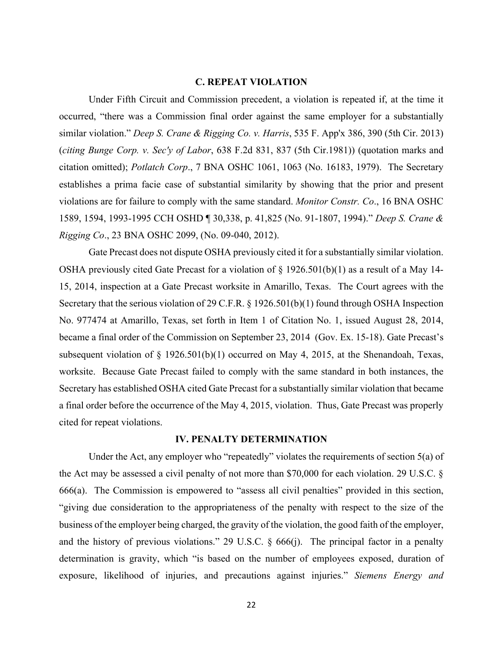### **C. REPEAT VIOLATION**

Under Fifth Circuit and Commission precedent, a violation is repeated if, at the time it occurred, "there was a Commission final order against the same employer for a substantially similar violation." *Deep S. Crane & Rigging Co. v. Harris*, 535 F. App'x 386, 390 (5th Cir. 2013) (*citing Bunge Corp. v. Sec'y of Labor*, 638 F.2d 831, 837 (5th Cir.1981)) (quotation marks and citation omitted); *Potlatch Corp*., 7 BNA OSHC 1061, 1063 (No. 16183, 1979). The Secretary establishes a prima facie case of substantial similarity by showing that the prior and present violations are for failure to comply with the same standard. *Monitor Constr. Co*., 16 BNA OSHC 1589, 1594, 1993-1995 CCH OSHD ¶ 30,338, p. 41,825 (No. 91-1807, 1994)." *Deep S. Crane & Rigging Co*., 23 BNA OSHC 2099, (No. 09-040, 2012).

Gate Precast does not dispute OSHA previously cited it for a substantially similar violation. OSHA previously cited Gate Precast for a violation of  $\S 1926.501(b)(1)$  as a result of a May 14-15, 2014, inspection at a Gate Precast worksite in Amarillo, Texas. The Court agrees with the Secretary that the serious violation of 29 C.F.R. § 1926.501(b)(1) found through OSHA Inspection No. 977474 at Amarillo, Texas, set forth in Item 1 of Citation No. 1, issued August 28, 2014, became a final order of the Commission on September 23, 2014 (Gov. Ex. 15-18). Gate Precast's subsequent violation of § 1926.501(b)(1) occurred on May 4, 2015, at the Shenandoah, Texas, worksite. Because Gate Precast failed to comply with the same standard in both instances, the Secretary has established OSHA cited Gate Precast for a substantially similar violation that became a final order before the occurrence of the May 4, 2015, violation. Thus, Gate Precast was properly cited for repeat violations.

### **IV. PENALTY DETERMINATION**

Under the Act, any employer who "repeatedly" violates the requirements of section 5(a) of the Act may be assessed a civil penalty of not more than \$70,000 for each violation. 29 U.S.C. § 666(a). The Commission is empowered to "assess all civil penalties" provided in this section, "giving due consideration to the appropriateness of the penalty with respect to the size of the business of the employer being charged, the gravity of the violation, the good faith of the employer, and the history of previous violations." 29 U.S.C. § 666(j). The principal factor in a penalty determination is gravity, which "is based on the number of employees exposed, duration of exposure, likelihood of injuries, and precautions against injuries." *Siemens Energy and*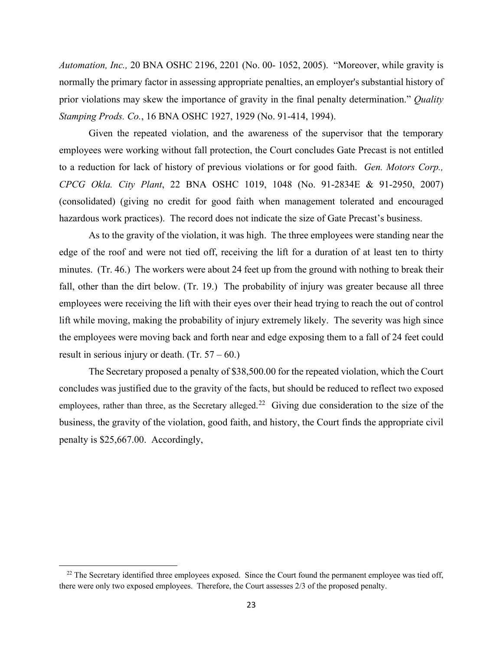*Automation, Inc.,* 20 BNA OSHC 2196, 2201 (No. 00- 1052, 2005). "Moreover, while gravity is normally the primary factor in assessing appropriate penalties, an employer's substantial history of prior violations may skew the importance of gravity in the final penalty determination." *Quality Stamping Prods. Co.*, 16 BNA OSHC 1927, 1929 (No. 91-414, 1994).

Given the repeated violation, and the awareness of the supervisor that the temporary employees were working without fall protection, the Court concludes Gate Precast is not entitled to a reduction for lack of history of previous violations or for good faith. *Gen. Motors Corp., CPCG Okla. City Plant*, 22 BNA OSHC 1019, 1048 (No. 91-2834E & 91-2950, 2007) (consolidated) (giving no credit for good faith when management tolerated and encouraged hazardous work practices). The record does not indicate the size of Gate Precast's business.

As to the gravity of the violation, it was high. The three employees were standing near the edge of the roof and were not tied off, receiving the lift for a duration of at least ten to thirty minutes. (Tr. 46.) The workers were about 24 feet up from the ground with nothing to break their fall, other than the dirt below. (Tr. 19.) The probability of injury was greater because all three employees were receiving the lift with their eyes over their head trying to reach the out of control lift while moving, making the probability of injury extremely likely. The severity was high since the employees were moving back and forth near and edge exposing them to a fall of 24 feet could result in serious injury or death.  $(Tr. 57 - 60)$ .

The Secretary proposed a penalty of \$38,500.00 for the repeated violation, which the Court concludes was justified due to the gravity of the facts, but should be reduced to reflect two exposed employees, rather than three, as the Secretary alleged.<sup>[22](#page-22-0)</sup> Giving due consideration to the size of the business, the gravity of the violation, good faith, and history, the Court finds the appropriate civil penalty is \$25,667.00. Accordingly,

<span id="page-22-0"></span><sup>&</sup>lt;sup>22</sup> The Secretary identified three employees exposed. Since the Court found the permanent employee was tied off, there were only two exposed employees. Therefore, the Court assesses 2/3 of the proposed penalty.